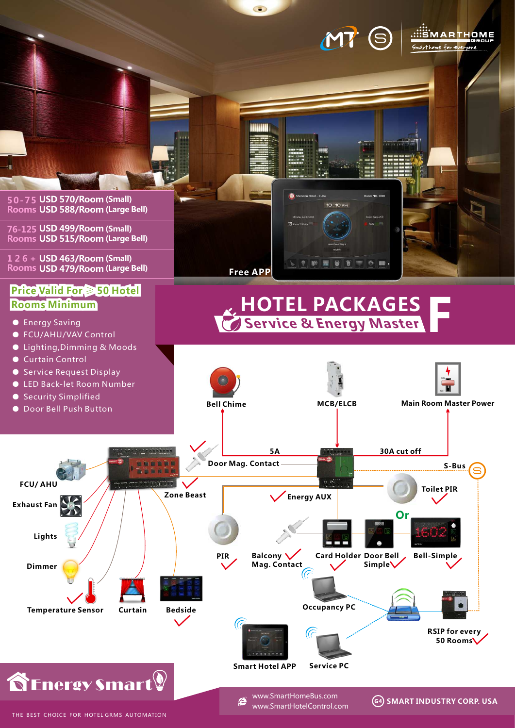

 $\circ$ 

THE BEST CHOICE FOR HOTEL GRMS AUTOMATION